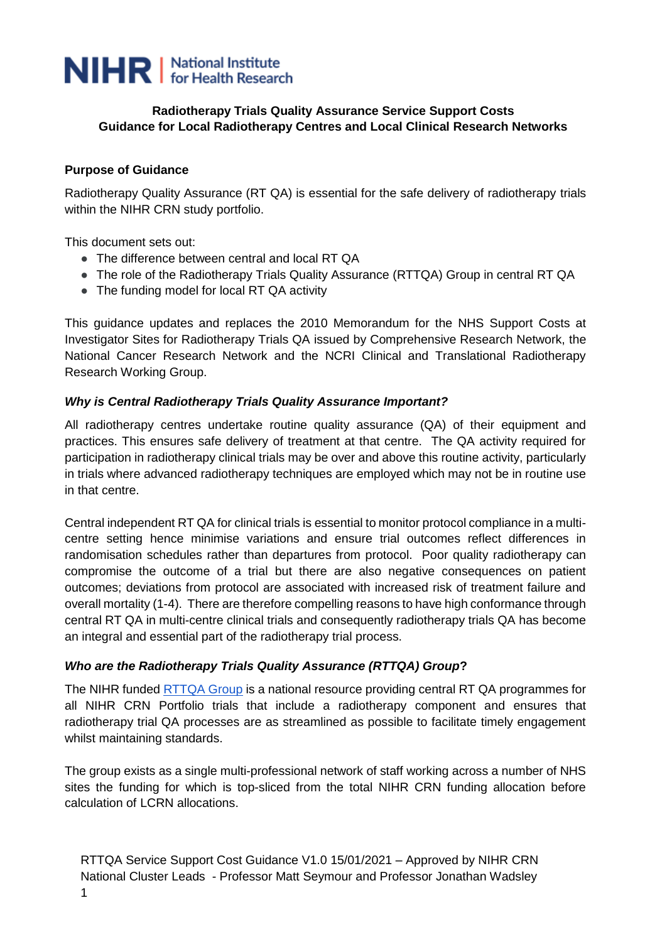

#### **Radiotherapy Trials Quality Assurance Service Support Costs Guidance for Local Radiotherapy Centres and Local Clinical Research Networks**

#### **Purpose of Guidance**

Radiotherapy Quality Assurance (RT QA) is essential for the safe delivery of radiotherapy trials within the NIHR CRN study portfolio.

This document sets out:

- The difference between central and local RT QA
- The role of the Radiotherapy Trials Quality Assurance (RTTQA) Group in central RT QA
- The funding model for local RT QA activity

This guidance updates and replaces the 2010 [Memorandum for the NHS Support Costs at](https://drive.google.com/file/d/1fBY7gcHfBopvQwWJAWl6j0QNH1IOFiya/view?usp=sharing)  [Investigator Sites for Radiotherapy Trials QA](https://drive.google.com/file/d/1fBY7gcHfBopvQwWJAWl6j0QNH1IOFiya/view?usp=sharing) issued by Comprehensive Research Network, the National Cancer Research Network and the NCRI Clinical and Translational Radiotherapy Research Working Group.

#### *Why is Central Radiotherapy Trials Quality Assurance Important?*

All radiotherapy centres undertake routine quality assurance (QA) of their equipment and practices. This ensures safe delivery of treatment at that centre. The QA activity required for participation in radiotherapy clinical trials may be over and above this routine activity, particularly in trials where advanced radiotherapy techniques are employed which may not be in routine use in that centre.

Central independent RT QA for clinical trials is essential to monitor protocol compliance in a multicentre setting hence minimise variations and ensure trial outcomes reflect differences in randomisation schedules rather than departures from protocol. Poor quality radiotherapy can compromise the outcome of a trial but there are also negative consequences on patient outcomes; deviations from protocol are associated with increased risk of treatment failure and overall mortality (1-4). There are therefore compelling reasons to have high conformance through central RT QA in multi-centre clinical trials and consequently radiotherapy trials QA has become an integral and essential part of the radiotherapy trial process.

#### *Who are the Radiotherapy Trials Quality Assurance (RTTQA) Group***?**

The NIHR funded **RTTQA Group** is a national resource providing central RT QA programmes for all NIHR CRN Portfolio trials that include a radiotherapy component and ensures that radiotherapy trial QA processes are as streamlined as possible to facilitate timely engagement whilst maintaining standards.

The group exists as a single multi-professional network of staff working across a number of NHS sites the funding for which is top-sliced from the total NIHR CRN funding allocation before calculation of LCRN allocations.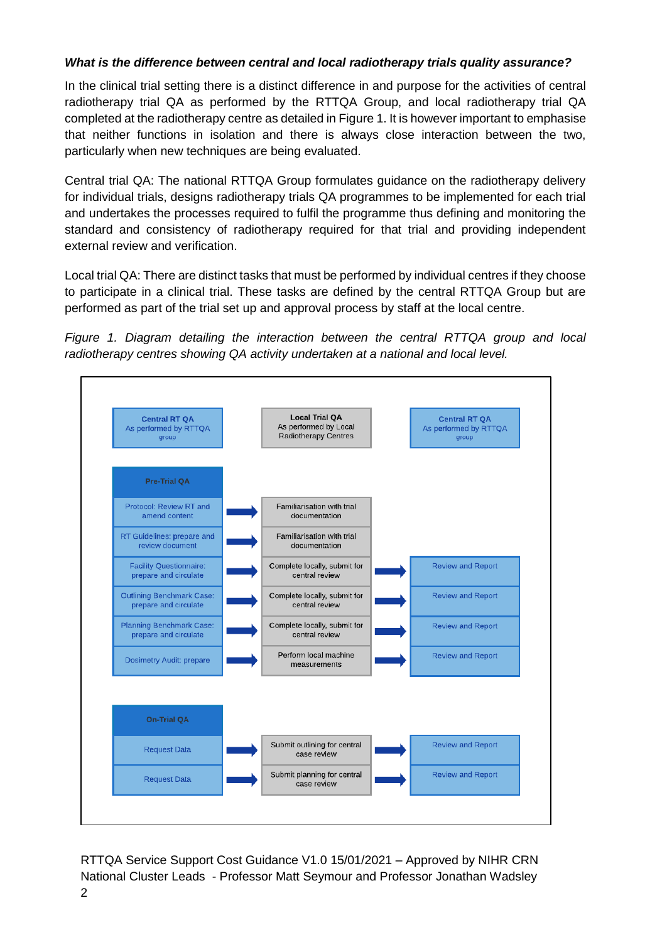### *What is the difference between central and local radiotherapy trials quality assurance?*

In the clinical trial setting there is a distinct difference in and purpose for the activities of central radiotherapy trial QA as performed by the RTTQA Group, and local radiotherapy trial QA completed at the radiotherapy centre as detailed in Figure 1. It is however important to emphasise that neither functions in isolation and there is always close interaction between the two, particularly when new techniques are being evaluated.

Central trial QA: The national RTTQA Group formulates guidance on the radiotherapy delivery for individual trials, designs radiotherapy trials QA programmes to be implemented for each trial and undertakes the processes required to fulfil the programme thus defining and monitoring the standard and consistency of radiotherapy required for that trial and providing independent external review and verification.

Local trial QA: There are distinct tasks that must be performed by individual centres if they choose to participate in a clinical trial. These tasks are defined by the central RTTQA Group but are performed as part of the trial set up and approval process by staff at the local centre.



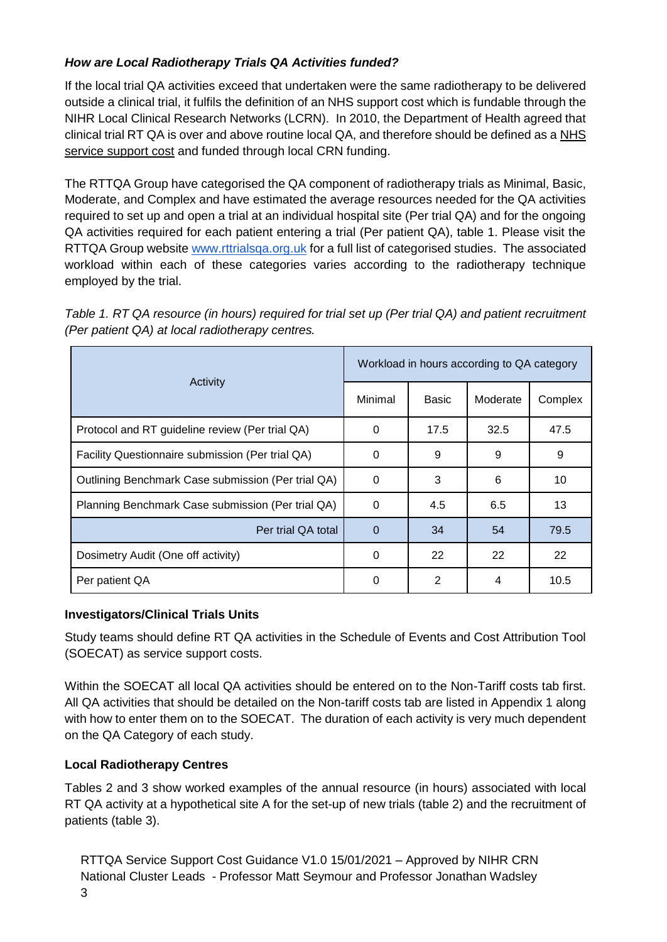# *How are Local Radiotherapy Trials QA Activities funded?*

If the local trial QA activities exceed that undertaken were the same radiotherapy to be delivered outside a clinical trial, it fulfils the definition of an NHS support cost which is fundable through the NIHR Local Clinical Research Networks (LCRN). In 2010, the Department of Health agreed that clinical trial RT QA is over and above routine local QA, and therefore should be defined as a [NHS](https://www.gov.uk/government/publications/guidance-on-attributing-the-costs-of-health-and-social-care-research)  [service support cost](https://www.gov.uk/government/publications/guidance-on-attributing-the-costs-of-health-and-social-care-research) and funded through local CRN funding.

The RTTQA Group have categorised the QA component of radiotherapy trials as Minimal, Basic, Moderate, and Complex and have estimated the average resources needed for the QA activities required to set up and open a trial at an individual hospital site (Per trial QA) and for the ongoing QA activities required for each patient entering a trial (Per patient QA), table 1. Please visit the RTTQA Group website www.rttrialsga.org.uk for a full list of categorised studies. The associated workload within each of these categories varies according to the radiotherapy technique employed by the trial.

| Table 1. RT QA resource (in hours) required for trial set up (Per trial QA) and patient recruitment |
|-----------------------------------------------------------------------------------------------------|
| (Per patient QA) at local radiotherapy centres.                                                     |

| Activity                                           | Workload in hours according to QA category |       |          |         |
|----------------------------------------------------|--------------------------------------------|-------|----------|---------|
|                                                    | Minimal                                    | Basic | Moderate | Complex |
| Protocol and RT guideline review (Per trial QA)    | 0                                          | 17.5  | 32.5     | 47.5    |
| Facility Questionnaire submission (Per trial QA)   | $\Omega$                                   | 9     | 9        | 9       |
| Outlining Benchmark Case submission (Per trial QA) | 0                                          | 3     | 6        | 10      |
| Planning Benchmark Case submission (Per trial QA)  | 0                                          | 4.5   | 6.5      | 13      |
| Per trial QA total                                 | $\Omega$                                   | 34    | 54       | 79.5    |
| Dosimetry Audit (One off activity)                 | 0                                          | 22    | 22       | 22      |
| Per patient QA                                     | $\Omega$                                   | 2     | 4        | 10.5    |

#### **Investigators/Clinical Trials Units**

Study teams should define RT QA activities in the Schedule of Events and Cost Attribution Tool (SOECAT) as service support costs.

Within the SOECAT all local QA activities should be entered on to the Non-Tariff costs tab first. All QA activities that should be detailed on the Non-tariff costs tab are listed in Appendix 1 along with how to enter them on to the SOECAT. The duration of each activity is very much dependent on the QA Category of each study.

### **Local Radiotherapy Centres**

Tables 2 and 3 show worked examples of the annual resource (in hours) associated with local RT QA activity at a hypothetical site A for the set-up of new trials (table 2) and the recruitment of patients (table 3).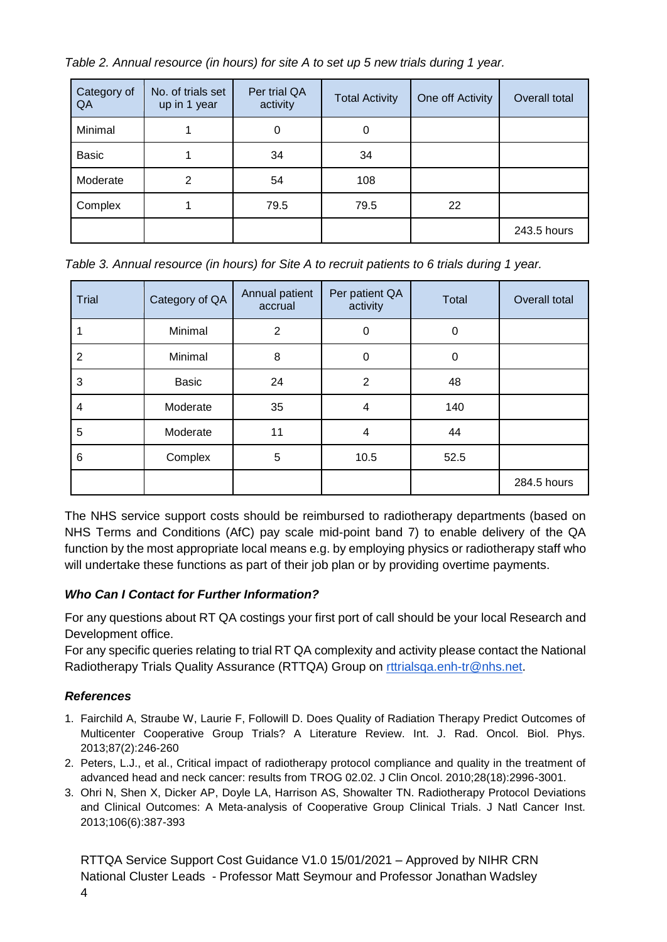| Category of<br>QA | No. of trials set<br>up in 1 year | Per trial QA<br>activity | <b>Total Activity</b> | One off Activity | Overall total |
|-------------------|-----------------------------------|--------------------------|-----------------------|------------------|---------------|
| Minimal           |                                   | 0                        | 0                     |                  |               |
| <b>Basic</b>      |                                   | 34                       | 34                    |                  |               |
| Moderate          | 2                                 | 54                       | 108                   |                  |               |
| Complex           |                                   | 79.5                     | 79.5                  | 22               |               |
|                   |                                   |                          |                       |                  | 243.5 hours   |

*Table 2. Annual resource (in hours) for site A to set up 5 new trials during 1 year.*

| Table 3. Annual resource (in hours) for Site A to recruit patients to 6 trials during 1 year. |  |  |  |
|-----------------------------------------------------------------------------------------------|--|--|--|
|                                                                                               |  |  |  |

| Trial          | Category of QA | Annual patient<br>accrual | Per patient QA<br>activity | Total | Overall total |
|----------------|----------------|---------------------------|----------------------------|-------|---------------|
|                | Minimal        | $\overline{2}$            | $\mathbf 0$                | 0     |               |
| $\overline{2}$ | Minimal        | 8                         | $\mathbf 0$                | 0     |               |
| 3              | <b>Basic</b>   | 24                        | $\overline{2}$             | 48    |               |
| 4              | Moderate       | 35                        | 4                          | 140   |               |
| 5              | Moderate       | 11                        | 4                          | 44    |               |
| 6              | Complex        | 5                         | 10.5                       | 52.5  |               |
|                |                |                           |                            |       | 284.5 hours   |

The NHS service support costs should be reimbursed to radiotherapy departments (based on NHS Terms and Conditions (AfC) pay scale mid-point band 7) to enable delivery of the QA function by the most appropriate local means e.g. by employing physics or radiotherapy staff who will undertake these functions as part of their job plan or by providing overtime payments.

# *Who Can I Contact for Further Information?*

For any questions about RT QA costings your first port of call should be your local Research and Development office.

For any specific queries relating to trial RT QA complexity and activity please contact the National Radiotherapy Trials Quality Assurance (RTTQA) Group on [rttrialsqa.enh-tr@nhs.net.](mailto:rttrialsqa.enh-tr@nhs.net)

# *References*

- 1. Fairchild A, Straube W, Laurie F, Followill D. Does Quality of Radiation Therapy Predict Outcomes of Multicenter Cooperative Group Trials? A Literature Review. Int. J. Rad. Oncol. Biol. Phys. 2013;87(2):246-260
- 2. Peters, L.J., et al., Critical impact of radiotherapy protocol compliance and quality in the treatment of advanced head and neck cancer: results from TROG 02.02. J Clin Oncol. 2010;28(18):2996-3001.
- 3. Ohri N, Shen X, Dicker AP, Doyle LA, Harrison AS, Showalter TN. Radiotherapy Protocol Deviations and Clinical Outcomes: A Meta-analysis of Cooperative Group Clinical Trials. J Natl Cancer Inst. 2013;106(6):387-393